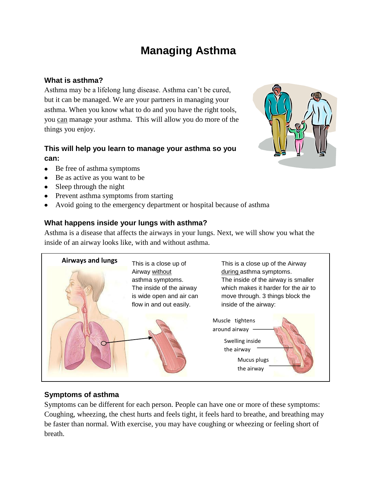# **Managing Asthma**

# **What is asthma?**

Asthma may be a lifelong lung disease. Asthma can't be cured, but it can be managed. We are your partners in managing your asthma. When you know what to do and you have the right tools, you can manage your asthma. This will allow you do more of the things you enjoy.

# **This will help you learn to manage your asthma so you can:**

- Be free of asthma symptoms
- Be as active as you want to be
- Sleep through the night
- Prevent asthma symptoms from starting
- Avoid going to the emergency department or hospital because of asthma  $\bullet$

# **What happens inside your lungs with asthma?**

Asthma is a disease that affects the airways in your lungs. Next, we will show you what the inside of an airway looks like, with and without asthma.



# **Symptoms of asthma**

Symptoms can be different for each person. People can have one or more of these symptoms: Coughing, wheezing, the chest hurts and feels tight, it feels hard to breathe, and breathing may be faster than normal. With exercise, you may have coughing or wheezing or feeling short of breath.